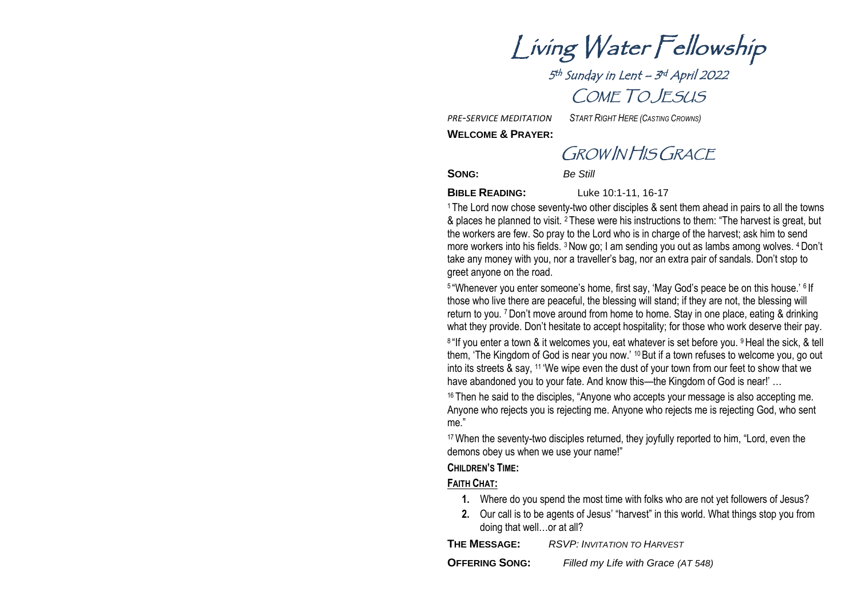Living Water Fellowship

5<sup>th</sup> Sunday in Lent – 3<sup>rd</sup> April 2022 COME TO JESUS

*PRE-SERVICE MEDITATION START RIGHT HERE (CASTING CROWNS)*

**WELCOME & PRAYER:**

GROW IN HIS GRACE

**SONG:** *Be Still*

**BIBLE READING:** Luke 10:1-11, 16-17

<sup>1</sup> The Lord now chose seventy-two other disciples & sent them ahead in pairs to all the towns & places he planned to visit. <sup>2</sup> These were his instructions to them: "The harvest is great, but the workers are few. So pray to the Lord who is in charge of the harvest; ask him to send more workers into his fields. <sup>3</sup>Now go; I am sending you out as lambs among wolves. <sup>4</sup>Don't take any money with you, nor a traveller's bag, nor an extra pair of sandals. Don't stop to greet anyone on the road.

<sup>5</sup> "Whenever you enter someone's home, first say, 'May God's peace be on this house.' <sup>6</sup> If those who live there are peaceful, the blessing will stand; if they are not, the blessing will return to you. <sup>7</sup>Don't move around from home to home. Stay in one place, eating & drinking what they provide. Don't hesitate to accept hospitality; for those who work deserve their pay. <sup>8 "If</sup> you enter a town & it welcomes you, eat whatever is set before you. <sup>9</sup> Heal the sick, & tell them, 'The Kingdom of God is near you now.' <sup>10</sup> But if a town refuses to welcome you, go out into its streets & say, <sup>11</sup> 'We wipe even the dust of your town from our feet to show that we have abandoned you to your fate. And know this—the Kingdom of God is near!' ...

<sup>16</sup> Then he said to the disciples, "Anyone who accepts your message is also accepting me. Anyone who rejects you is rejecting me. Anyone who rejects me is rejecting God, who sent me."

<sup>17</sup> When the seventy-two disciples returned, they joyfully reported to him, "Lord, even the demons obey us when we use your name!"

### **CHILDREN'S TIME:**

### **FAITH CHAT:**

- **1.** Where do you spend the most time with folks who are not yet followers of Jesus?
- **2.** Our call is to be agents of Jesus' "harvest" in this world. What things stop you from doing that well…or at all?

**THE MESSAGE:** *RSVP: INVITATION TO HARVEST*

**OFFERING SONG:** *Filled my Life with Grace (AT 548)*